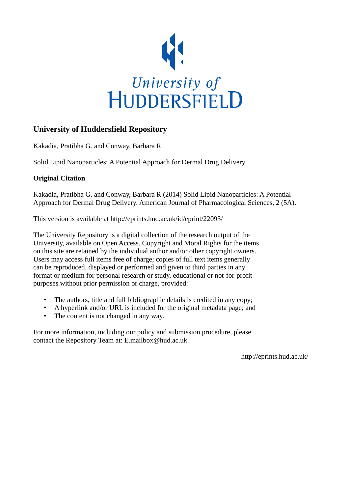

# **University of Huddersfield Repository**

Kakadia, Pratibha G. and Conway, Barbara R

Solid Lipid Nanoparticles: A Potential Approach for Dermal Drug Delivery

# **Original Citation**

Kakadia, Pratibha G. and Conway, Barbara R (2014) Solid Lipid Nanoparticles: A Potential Approach for Dermal Drug Delivery. American Journal of Pharmacological Sciences, 2 (5A).

This version is available at http://eprints.hud.ac.uk/id/eprint/22093/

The University Repository is a digital collection of the research output of the University, available on Open Access. Copyright and Moral Rights for the items on this site are retained by the individual author and/or other copyright owners. Users may access full items free of charge; copies of full text items generally can be reproduced, displayed or performed and given to third parties in any format or medium for personal research or study, educational or not-for-profit purposes without prior permission or charge, provided:

- The authors, title and full bibliographic details is credited in any copy;
- A hyperlink and/or URL is included for the original metadata page; and
- The content is not changed in any way.

For more information, including our policy and submission procedure, please contact the Repository Team at: E.mailbox@hud.ac.uk.

http://eprints.hud.ac.uk/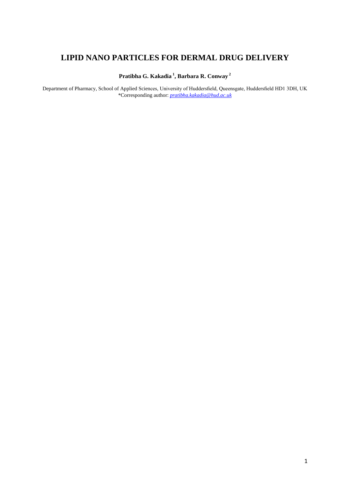# **LIPID NANO PARTICLES FOR DERMAL DRUG DELIVERY**

**Pratibha G. Kakadia <sup>1</sup> , Barbara R. Conway <sup>2</sup>**

Department of Pharmacy, School of Applied Sciences, University of Huddersfield, Queensgate, Huddersfield HD1 3DH, UK \*Corresponding author: *[pratibha.kakadia@hud.ac.uk](mailto:pratibha.kakadia@hud.ac.uk)*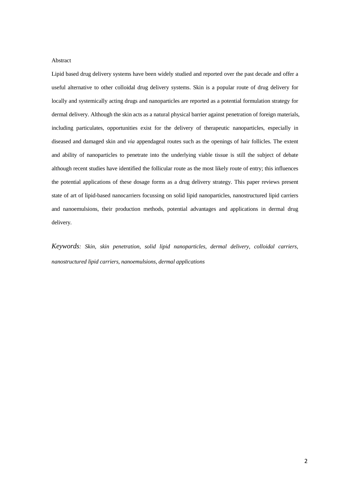## Abstract

Lipid based drug delivery systems have been widely studied and reported over the past decade and offer a useful alternative to other colloidal drug delivery systems. Skin is a popular route of drug delivery for locally and systemically acting drugs and nanoparticles are reported as a potential formulation strategy for dermal delivery. Although the skin acts as a natural physical barrier against penetration of foreign materials, including particulates, opportunities exist for the delivery of therapeutic nanoparticles, especially in diseased and damaged skin and *via* appendageal routes such as the openings of hair follicles. The extent and ability of nanoparticles to penetrate into the underlying viable tissue is still the subject of debate although recent studies have identified the follicular route as the most likely route of entry; this influences the potential applications of these dosage forms as a drug delivery strategy. This paper reviews present state of art of lipid-based nanocarriers focussing on solid lipid nanoparticles, nanostructured lipid carriers and nanoemulsions, their production methods, potential advantages and applications in dermal drug delivery.

*Keywords: Skin, skin penetration, solid lipid nanoparticles, dermal delivery, colloidal carriers, nanostructured lipid carriers, nanoemulsions, dermal applications*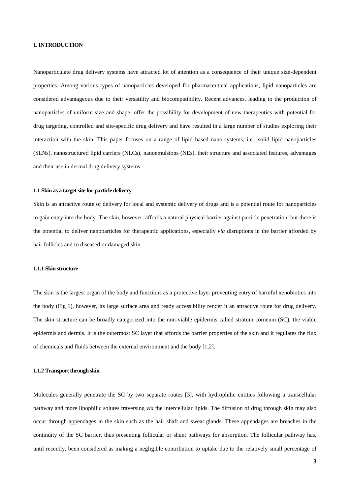#### **1. INTRODUCTION**

Nanoparticulate drug delivery systems have attracted lot of attention as a consequence of their unique size-dependent properties. Among various types of nanoparticles developed for pharmaceutical applications, lipid nanoparticles are considered advantageous due to their versatility and biocompatibility. Recent advances, leading to the production of nanoparticles of uniform size and shape, offer the possibility for development of new therapeutics with potential for drug targeting, controlled and site-specific drug delivery and have resulted in a large number of studies exploring their interaction with the skin. This paper focuses on a range of lipid based nano-systems, i.e., solid lipid nanoparticles (SLNs), nanostructured lipid carriers (NLCs), nanoemulsions (NEs), their structure and associated features, advantages and their use in dermal drug delivery systems.

#### **1.1 Skin as a target site for particle delivery**

Skin is an attractive route of delivery for local and systemic delivery of drugs and is a potential route for nanoparticles to gain entry into the body. The skin, however, affords a natural physical barrier against particle penetration, but there is the potential to deliver nanoparticles for therapeutic applications, especially *via* disruptions in the barrier afforded by hair follicles and to diseased or damaged skin.

## **1.1.1 Skin structure**

The skin is the largest organ of the body and functions as a protective layer preventing entry of harmful xenobiotics into the body (Fig 1), however, its large surface area and ready accessibility render it an attractive route for drug delivery. The skin structure can be broadly categorized into the non-viable epidermis called stratum corneum (SC), the viable epidermis and dermis. It is the outermost SC layer that affords the barrier properties of the skin and it regulates the flux of chemicals and fluids between the external environment and the body [1,2].

#### **1.1.2 Transport through skin**

Molecules generally penetrate the SC by two separate routes [3], with hydrophilic entities following a transcellular pathway and more lipophilic solutes traversing *via* the intercellular lipids. The diffusion of drug through skin may also occur through appendages in the skin such as the hair shaft and sweat glands. These appendages are breaches in the continuity of the SC barrier, thus presenting follicular or shunt pathways for absorption. The follicular pathway has, until recently, been considered as making a negligible contribution to uptake due to the relatively small percentage of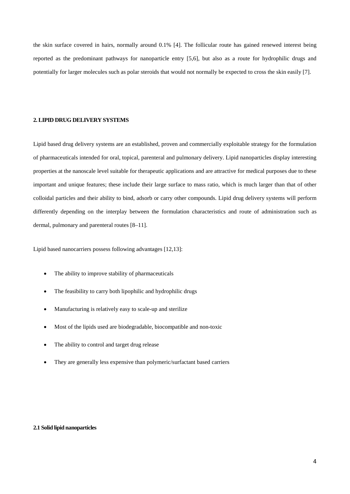the skin surface covered in hairs, normally around 0.1% [4]. The follicular route has gained renewed interest being reported as the predominant pathways for nanoparticle entry [5,6], but also as a route for hydrophilic drugs and potentially for larger molecules such as polar steroids that would not normally be expected to cross the skin easily [7].

#### **2. LIPID DRUG DELIVERY SYSTEMS**

Lipid based drug delivery systems are an established, proven and commercially exploitable strategy for the formulation of pharmaceuticals intended for oral, topical, parenteral and pulmonary delivery. Lipid nanoparticles display interesting properties at the nanoscale level suitable for therapeutic applications and are attractive for medical purposes due to these important and unique features; these include their large surface to mass ratio, which is much larger than that of other colloidal particles and their ability to bind, adsorb or carry other compounds. Lipid drug delivery systems will perform differently depending on the interplay between the formulation characteristics and route of administration such as dermal, pulmonary and parenteral routes [8–11].

Lipid based nanocarriers possess following advantages [12,13]:

- The ability to improve stability of pharmaceuticals
- The feasibility to carry both lipophilic and hydrophilic drugs
- Manufacturing is relatively easy to scale-up and sterilize
- Most of the lipids used are biodegradable, biocompatible and non-toxic
- The ability to control and target drug release
- They are generally less expensive than polymeric/surfactant based carriers

### **2.1 Solid lipid nanoparticles**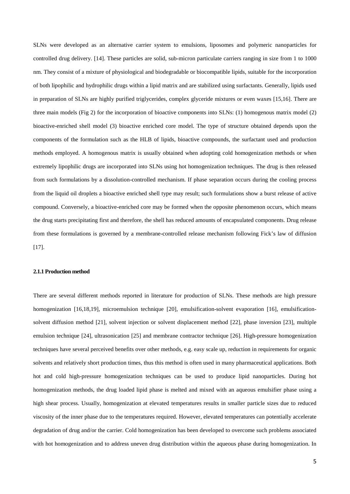SLNs were developed as an alternative carrier system to emulsions, liposomes and polymeric nanoparticles for controlled drug delivery. [14]. These particles are solid, sub-micron particulate carriers ranging in size from 1 to 1000 nm. They consist of a mixture of physiological and biodegradable or biocompatible lipids, suitable for the incorporation of both lipophilic and hydrophilic drugs within a lipid matrix and are stabilized using surfactants. Generally, lipids used in preparation of SLNs are highly purified triglycerides, complex glyceride mixtures or even waxes [15,16]. There are three main models (Fig 2) for the incorporation of bioactive components into SLNs: (1) homogenous matrix model (2) bioactive-enriched shell model (3) bioactive enriched core model. The type of structure obtained depends upon the components of the formulation such as the HLB of lipids, bioactive compounds, the surfactant used and production methods employed. A homogenous matrix is usually obtained when adopting cold homogenization methods or when extremely lipophilic drugs are incorporated into SLNs using hot homogenization techniques. The drug is then released from such formulations by a dissolution-controlled mechanism. If phase separation occurs during the cooling process from the liquid oil droplets a bioactive enriched shell type may result; such formulations show a burst release of active compound. Conversely, a bioactive-enriched core may be formed when the opposite phenomenon occurs, which means the drug starts precipitating first and therefore, the shell has reduced amounts of encapsulated components. Drug release from these formulations is governed by a membrane-controlled release mechanism following Fick's law of diffusion [17].

#### **2.1.1 Production method**

There are several different methods reported in literature for production of SLNs. These methods are high pressure homogenization [16,18,19], microemulsion technique [20], emulsification-solvent evaporation [16], emulsificationsolvent diffusion method [21], solvent injection or solvent displacement method [22], phase inversion [23], multiple emulsion technique [24], ultrasonication [25] and membrane contractor technique [26]. High-pressure homogenization techniques have several perceived benefits over other methods, e.g. easy scale up, reduction in requirements for organic solvents and relatively short production times, thus this method is often used in many pharmaceutical applications. Both hot and cold high-pressure homogenization techniques can be used to produce lipid nanoparticles. During hot homogenization methods, the drug loaded lipid phase is melted and mixed with an aqueous emulsifier phase using a high shear process. Usually, homogenization at elevated temperatures results in smaller particle sizes due to reduced viscosity of the inner phase due to the temperatures required. However, elevated temperatures can potentially accelerate degradation of drug and/or the carrier. Cold homogenization has been developed to overcome such problems associated with hot homogenization and to address uneven drug distribution within the aqueous phase during homogenization. In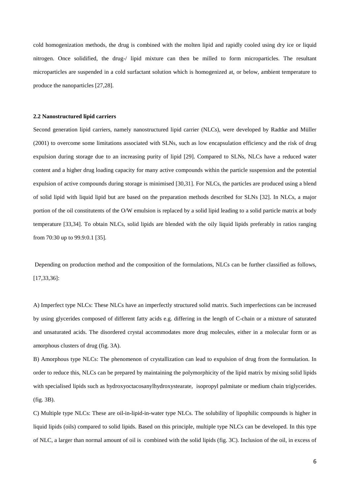cold homogenization methods, the drug is combined with the molten lipid and rapidly cooled using dry ice or liquid nitrogen. Once solidified, the drug-/ lipid mixture can then be milled to form microparticles. The resultant microparticles are suspended in a cold surfactant solution which is homogenized at, or below, ambient temperature to produce the nanoparticles [27,28].

#### **2.2 Nanostructured lipid carriers**

Second generation lipid carriers, namely nanostructured lipid carrier (NLCs), were developed by Radtke and Müller (2001) to overcome some limitations associated with SLNs, such as low encapsulation efficiency and the risk of drug expulsion during storage due to an increasing purity of lipid [29]. Compared to SLNs, NLCs have a reduced water content and a higher drug loading capacity for many active compounds within the particle suspension and the potential expulsion of active compounds during storage is minimised [30,31]. For NLCs, the particles are produced using a blend of solid lipid with liquid lipid but are based on the preparation methods described for SLNs [32]. In NLCs, a major portion of the oil constitutents of the O/W emulsion is replaced by a solid lipid leading to a solid particle matrix at body temperature [33,34]. To obtain NLCs, solid lipids are blended with the oily liquid lipids preferably in ratios ranging from 70:30 up to 99.9:0.1 [35].

Depending on production method and the composition of the formulations, NLCs can be further classified as follows, [17,33,36]:

A) Imperfect type NLCs: These NLCs have an imperfectly structured solid matrix. Such imperfections can be increased by using glycerides composed of different fatty acids e.g. differing in the length of C-chain or a mixture of saturated and unsaturated acids. The disordered crystal accommodates more drug molecules, either in a molecular form or as amorphous clusters of drug (fig. 3A).

B) Amorphous type NLCs: The phenomenon of crystallization can lead to expulsion of drug from the formulation. In order to reduce this, NLCs can be prepared by maintaining the polymorphicity of the lipid matrix by mixing solid lipids with specialised lipids such as hydroxyoctacosanylhydroxystearate, isopropyl palmitate or medium chain triglycerides. (fig. 3B).

C) Multiple type NLCs: These are oil-in-lipid-in-water type NLCs. The solubility of lipophilic compounds is higher in liquid lipids (oils) compared to solid lipids. Based on this principle, multiple type NLCs can be developed. In this type of NLC, a larger than normal amount of oil is combined with the solid lipids (fig. 3C). Inclusion of the oil, in excess of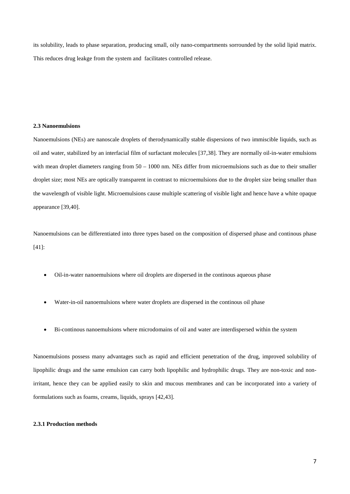its solubility, leads to phase separation, producing small, oily nano-compartments sorrounded by the solid lipid matrix. This reduces drug leakge from the system and facilitates controlled release.

## **2.3 Nanoemulsions**

Nanoemulsions (NEs) are nanoscale droplets of therodynamically stable dispersions of two immiscible liquids, such as oil and water, stabilized by an interfacial film of surfactant molecules [37,38]. They are normally oil-in-water emulsions with mean droplet diameters ranging from  $50 - 1000$  nm. NEs differ from microemulsions such as due to their smaller droplet size; most NEs are optically transparent in contrast to microemulsions due to the droplet size being smaller than the wavelength of visible light. Microemulsions cause multiple scattering of visible light and hence have a white opaque appearance [39,40].

Nanoemulsions can be differentiated into three types based on the composition of dispersed phase and continous phase [41]:

- Oil-in-water nanoemulsions where oil droplets are dispersed in the continous aqueous phase
- Water-in-oil nanoemulsions where water droplets are dispersed in the continous oil phase
- Bi-continous nanoemulsions where microdomains of oil and water are interdispersed within the system

Nanoemulsions possess many advantages such as rapid and efficient penetration of the drug, improved solubility of lipophilic drugs and the same emulsion can carry both lipophilic and hydrophilic drugs. They are non-toxic and nonirritant, hence they can be applied easily to skin and mucous membranes and can be incorporated into a variety of formulations such as foams, creams, liquids, sprays [42,43].

# **2.3.1 Production methods**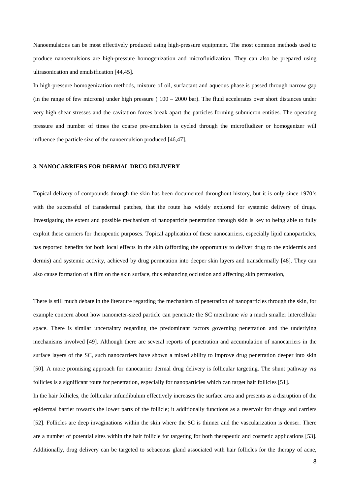Nanoemulsions can be most effectively produced using high-pressure equipment. The most common methods used to produce nanoemulsions are high-pressure homogenization and microfluidization. They can also be prepared using ultrasonication and emulsification [44,45].

In high-pressure homogenization methods, mixture of oil, surfactant and aqueous phase.is passed through narrow gap (in the range of few microns) under high pressure ( $100 - 2000$  bar). The fluid accelerates over short distances under very high shear stresses and the cavitation forces break apart the particles forming submicron entities. The operating pressure and number of times the coarse pre-emulsion is cycled through the microfludizer or homogenizer will influence the particle size of the nanoemulsion produced [46,47].

## **3. NANOCARRIERS FOR DERMAL DRUG DELIVERY**

Topical delivery of compounds through the skin has been documented throughout history, but it is only since 1970's with the successful of transdermal patches, that the route has widely explored for systemic delivery of drugs. Investigating the extent and possible mechanism of nanoparticle penetration through skin is key to being able to fully exploit these carriers for therapeutic purposes. Topical application of these nanocarriers, especially lipid nanoparticles, has reported benefits for both local effects in the skin (affording the opportunity to deliver drug to the epidermis and dermis) and systemic activity, achieved by drug permeation into deeper skin layers and transdermally [48]. They can also cause formation of a film on the skin surface, thus enhancing occlusion and affecting skin permeation,

There is still much debate in the literature regarding the mechanism of penetration of nanoparticles through the skin, for example concern about how nanometer-sized particle can penetrate the SC membrane *via* a much smaller intercellular space. There is similar uncertainty regarding the predominant factors governing penetration and the underlying mechanisms involved [49]. Although there are several reports of penetration and accumulation of nanocarriers in the surface layers of the SC, such nanocarriers have shown a mixed ability to improve drug penetration deeper into skin [50]. A more promising approach for nanocarrier dermal drug delivery is follicular targeting. The shunt pathway *via* follicles is a significant route for penetration, especially for nanoparticles which can target hair follicles [51].

In the hair follicles, the follicular infundibulum effectively increases the surface area and presents as a disruption of the epidermal barrier towards the lower parts of the follicle; it additionally functions as a reservoir for drugs and carriers [52]. Follicles are deep invaginations within the skin where the SC is thinner and the vascularization is denser. There are a number of potential sites within the hair follicle for targeting for both therapeutic and cosmetic applications [53]. Additionally, drug delivery can be targeted to sebaceous gland associated with hair follicles for the therapy of acne,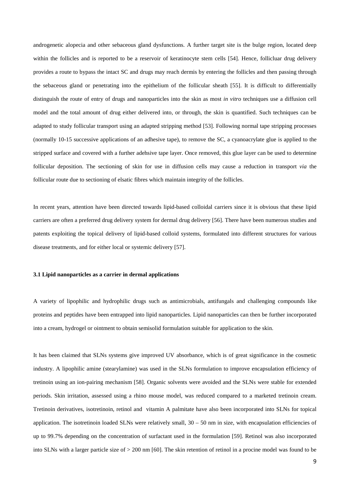androgenetic alopecia and other sebaceous gland dysfunctions. A further target site is the bulge region, located deep within the follicles and is reported to be a reservoir of keratinocyte stem cells [54]. Hence, follicluar drug delivery provides a route to bypass the intact SC and drugs may reach dermis by entering the follicles and then passing through the sebaceous gland or penetrating into the epithelium of the follicular sheath [55]. It is difficult to differentially distinguish the route of entry of drugs and nanoparticles into the skin as most *in vitro* techniques use a diffusion cell model and the total amount of drug either delivered into, or through, the skin is quantified. Such techniques can be adapted to study follicular transport using an adapted stripping method [53]. Following normal tape stripping processes (normally 10-15 successive applications of an adhesive tape), to remove the SC, a cyanoacrylate glue is applied to the stripped surface and covered with a further adehsive tape layer. Once removed, this glue layer can be used to determine follicular deposition. The sectioning of skin for use in diffusion cells may cause a reduction in transport *via* the follicular route due to sectioning of elsatic fibres which maintain integrity of the follicles.

In recent years, attention have been directed towards lipid-based colloidal carriers since it is obvious that these lipid carriers are often a preferred drug delivery system for dermal drug delivery [56]. There have been numerous studies and patents exploiting the topical delivery of lipid-based colloid systems, formulated into different structures for various disease treatments, and for either local or systemic delivery [57].

#### **3.1 Lipid nanoparticles as a carrier in dermal applications**

A variety of lipophilic and hydrophilic drugs such as antimicrobials, antifungals and challenging compounds like proteins and peptides have been entrapped into lipid nanoparticles. Lipid nanoparticles can then be further incorporated into a cream, hydrogel or ointment to obtain semisolid formulation suitable for application to the skin.

It has been claimed that SLNs systems give improved UV absorbance, which is of great significance in the cosmetic industry. A lipophilic amine (stearylamine) was used in the SLNs formulation to improve encapsulation efficiency of tretinoin using an ion-pairing mechanism [58]. Organic solvents were avoided and the SLNs were stable for extended periods. Skin irritation, assessed using a rhino mouse model, was reduced compared to a marketed tretinoin cream. Tretinoin derivatives, isotretinoin, retinol and vitamin A palmitate have also been incorporated into SLNs for topical application. The isotretinoin loaded SLNs were relatively small,  $30 - 50$  nm in size, with encapsulation efficiencies of up to 99.7% depending on the concentration of surfactant used in the formulation [59]. Retinol was also incorporated into SLNs with a larger particle size of > 200 nm [60]. The skin retention of retinol in a procine model was found to be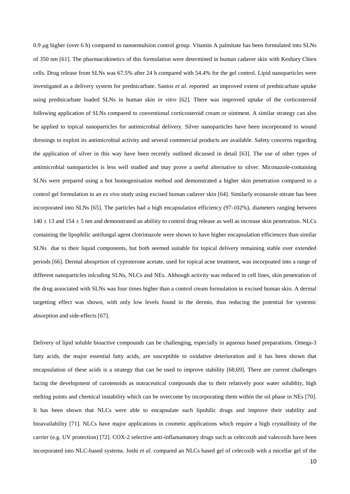0.9 µg higher (over 6 h) compared to nanoemulsion control group. Vitamin A palmitate has been formulated into SLNs of 350 nm [61]. The pharmacokinetics of this formulation were determined in human cadaver skin with Keshary Chien cells. Drug release from SLNs was 67.5% after 24 h compared with 54.4% for the gel control. Lipid nanoparticles were investigated as a delivery system for prednicarbate. Santos *et al*. reported an improved extent of prednicarbate uptake using prednicarbate loaded SLNs in human skin *in vitro* [62]. There was improved uptake of the corticosteroid following application of SLNs compared to conventional corticosteroid cream or ointment. A similar strategy can also be applied to topical nanoparticles for antimicrobial delivery. Silver nanoparticles have been incorporated to wound dressings to exploit its antimicrobial activity and several commercial products are available. Safety concerns regarding the application of silver in this way have been recently outlined dicussed in detail [63]. The use of other types of antimicrobial nanoparticles is less well studied and may prove a useful alternative to silver. Miconazole-containing SLNs were prepared using a hot homogenisation method and demonstrated a higher skin penetration compared to a control gel formulation in an *ex vivo* study using excised human cadaver skin [64]. Similarly econazole nitrate has been incorporated into SLNs [65]. The particles had a high encapsulation efficiency (97-102%), diameters ranging between  $140 \pm 13$  and  $154 \pm 5$  nm and demonstrated an abiliity to control drug release as well as increase skin penetration. NLCs containing the lipophilic antifungal agent clotrimazole were shown to have higher encapsulation efficiences than similar SLNs due to their liquid components, but both seemed suitable for topical delivery remaining stable over extended periods [66]. Dermal abosprtion of cyproterone acetate, used for topical acne treatment, was incorpoated into a range of different nanoparticles inlcuding SLNs, NLCs and NEs. Although activity was reduced in cell lines, skin penetration of the drug associated with SLNs was four times higher than a control cream formulation in excised human skin. A dermal targetting effect was shown, with only low levels found in the dermis, thus reducing the potential for systemic absorption and side-effects [67].

Delivery of lipid soluble bioactive compounds can be challenging, especially in aqueous based preparations. Omega-3 fatty acids, the major essential fatty acids, are susceptible to oxidative deterioration and it has been shown that encapsulation of these acids is a strategy that can be used to improve stability [68,69]. There are current challenges facing the development of carotenoids as nutraceutical compounds due to their relatively poor water solublity, high melting points and chemical instability which can be overcome by incorporating them within the oil phase in NEs [70]. It has been shown that NLCs were able to encapsulate such lipohilic drugs and improve their stability and bioavailability [71]. NLCs have major applications in cosmetic applications which require a high crystallinity of the carrier (e.g. UV protection) [72]. COX-2 selective anti-inflamamatory drugs such as celecoxib and valecoxib have been incorporated into NLC-based systems. Joshi *et al.* compared an NLCs based gel of celecoxib with a micellar gel of the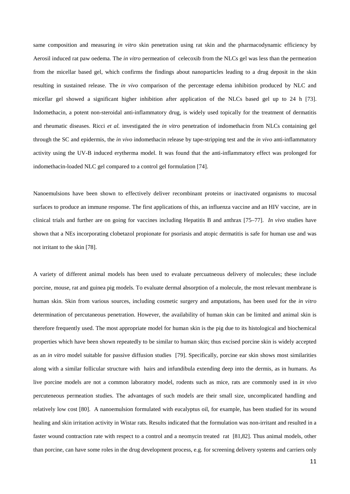same composition and measuring *in vitro* skin penetration using rat skin and the pharmacodynamic efficiency by Aerosil induced rat paw oedema. The *in vitro* permeation of celecoxib from the NLCs gel was less than the permeation from the micellar based gel, which confirms the findings about nanoparticles leading to a drug deposit in the skin resulting in sustained release. The *in vivo* comparison of the percentage edema inhibition produced by NLC and micellar gel showed a significant higher inhibition after application of the NLCs based gel up to 24 h [73]. Indomethacin, a potent non-steroidal anti-inflammatory drug, is widely used topically for the treatment of dermatitis and rheumatic diseases. Ricci *et al.* investigated the *in vitro* penetration of indomethacin from NLCs containing gel through the SC and epidermis, the *in vivo* indomethacin release by tape-stripping test and the *in vivo* anti-inflammatory activity using the UV-B induced erytherma model. It was found that the anti-inflammatory effect was prolonged for indomethacin-loaded NLC gel compared to a control gel formulation [74].

Nanoemulsions have been shown to effectively deliver recombinant proteins or inactivated organisms to mucosal surfaces to produce an immune response. The first applications of this, an influenza vaccine and an HIV vaccine, are in clinical trials and further are on going for vaccines including Hepatitis B and anthrax [75–77]. *In vivo* studies have shown that a NEs incorporating clobetazol propionate for psoriasis and atopic dermatitis is safe for human use and was not irritant to the skin [78].

A variety of different animal models has been used to evaluate percuatneous delivery of molecules; these include porcine, mouse, rat and guinea pig models. To evaluate dermal absorption of a molecule, the most relevant membrane is human skin. Skin from various sources, including cosmetic surgery and amputations, has been used for the *in vitro* determination of percutaneous penetration. However, the availability of human skin can be limited and animal skin is therefore frequently used. The most appropriate model for human skin is the pig due to its histological and biochemical properties which have been shown repeatedly to be similar to human skin; thus excised porcine skin is widely accepted as an *in vitro* model suitable for passive diffusion studies [79]. Specifically, porcine ear skin shows most similarities along with a similar follicular structure with hairs and infundibula extending deep into the dermis, as in humans. As live porcine models are not a common laboratory model, rodents such as mice, rats are commonly used in *in vivo*  percuteneous permeation studies. The advantages of such models are their small size, uncomplicated handling and relatively low cost [80]. A nanoemulsion formulated with eucalyptus oil, for example, has been studied for its wound healing and skin irritation activity in Wistar rats. Results indicated that the formulation was non-irritant and resulted in a faster wound contraction rate with respect to a control and a neomycin treated rat [81,82]. Thus animal models, other than porcine, can have some roles in the drug development process, e.g. for screening delivery systems and carriers only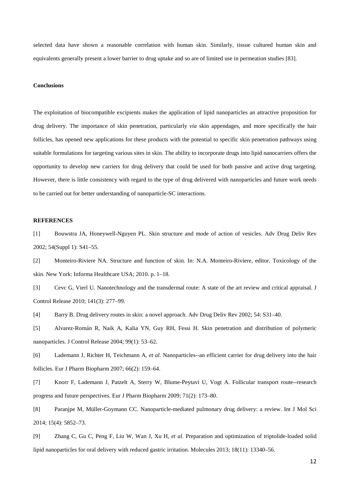selected data have shown a reasonable correlation with human skin. Similarly, tissue cultured human skin and equivalents generally present a lower barrier to drug uptake and so are of limited use in permeation studies [83].

#### **Conclusions**

The exploitation of biocompatible excipients makes the application of lipid nanoparticles an attractive proposition for drug delivery. The importance of skin penetration, particularly *via* skin appendages, and more specifically the hair follicles, has opened new applications for these products with the potential to specific skin penetration pathways using suitable formulations for targeting various sites in skin. The ability to incorporate drugs into lipid nanocarriers offers the opportunity to develop new carriers for drug delivery that could be used for both passive and active drug targeting. However, there is little consistency with regard to the type of drug delivered with nanoparticles and future work needs to be carried out for better understanding of nanoparticle-SC interactions.

### **REFERENCES**

[1] Bouwstra JA, Honeywell-Nguyen PL. Skin structure and mode of action of vesicles. Adv Drug Deliv Rev 2002; 54(Suppl 1): S41–55.

[2] Monteiro-Riviere NA. Structure and function of skin. In: N.A. Monteiro-Riviere, editor. Toxicology of the skin. New York: Informa Healthcare USA; 2010. p. 1–18.

[3] Cevc G, Vierl U. Nanotechnology and the transdermal route: A state of the art review and critical appraisal. J Control Release 2010; 141(3): 277–99.

[4] Barry B. Drug delivery routes in skin: a novel approach. Adv Drug Deliv Rev 2002; 54: S31–40.

[5] Alvarez-Román R, Naik A, Kalia YN, Guy RH, Fessi H. Skin penetration and distribution of polymeric nanoparticles. J Control Release 2004; 99(1): 53–62.

[6] Lademann J, Richter H, Teichmann A, *et al.* Nanoparticles--an efficient carrier for drug delivery into the hair follicles. Eur J Pharm Biopharm 2007; 66(2): 159–64.

[7] Knorr F, Lademann J, Patzelt A, Sterry W, Blume-Peytavi U, Vogt A. Follicular transport route--research progress and future perspectives. Eur J Pharm Biopharm 2009; 71(2): 173–80.

[8] Paranjpe M, Müller-Goymann CC. Nanoparticle-mediated pulmonary drug delivery: a review. Int J Mol Sci 2014; 15(4): 5852–73.

[9] Zhang C, Gu C, Peng F, Liu W, Wan J, Xu H, *et al*. Preparation and optimization of triptolide-loaded solid lipid nanoparticles for oral delivery with reduced gastric irritation. Molecules 2013; 18(11): 13340–56.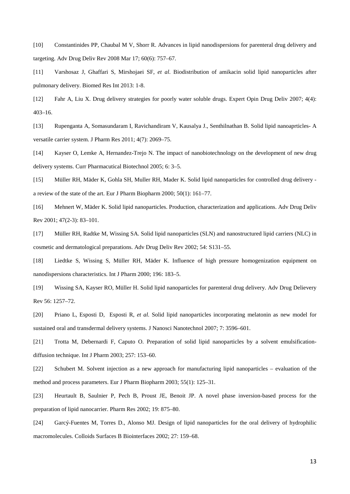[10] Constantinides PP, Chaubal M V, Shorr R. Advances in lipid nanodispersions for parenteral drug delivery and targeting. Adv Drug Deliv Rev 2008 Mar 17; 60(6): 757–67.

[11] Varshosaz J, Ghaffari S, Mirshojaei SF, *et al*. Biodistribution of amikacin solid lipid nanoparticles after pulmonary delivery. Biomed Res Int 2013: 1-8.

[12] Fahr A, Liu X. Drug delivery strategies for poorly water soluble drugs. Expert Opin Drug Deliv 2007; 4(4): 403–16.

[13] Rupenganta A, Somasundaram I, Ravichandiram V, Kausalya J., Senthilnathan B. Solid lipid nanoaprticles- A versatile carrier system. J Pharm Res 2011; 4(7): 2069–75.

[14] Kayser O, Lemke A, Hernandez-Trejo N. The impact of nanobiotechnology on the development of new drug delivery systems. Curr Pharmacutical Biotechnol 2005; 6: 3–5.

[15] Müller RH, Mäder K, Gohla SH, Muller RH, Mader K. Solid lipid nanoparticles for controlled drug delivery a review of the state of the art. Eur J Pharm Biopharm 2000; 50(1): 161–77.

[16] Mehnert W, Mäder K. Solid lipid nanoparticles. Production, characterization and applications. Adv Drug Deliv Rev 2001; 47(2-3): 83–101.

[17] Müller RH, Radtke M, Wissing SA. Solid lipid nanoparticles (SLN) and nanostructured lipid carriers (NLC) in cosmetic and dermatological preparations. Adv Drug Deliv Rev 2002; 54: S131–55.

[18] Liedtke S, Wissing S, Müller RH, Mäder K. Influence of high pressure homogenization equipment on nanodispersions characteristics. Int J Pharm 2000; 196: 183–5.

[19] Wissing SA, Kayser RO, Müller H. Solid lipid nanoparticles for parenteral drug delivery. Adv Drug Delievery Rev 56: 1257–72.

[20] Priano L, Esposti D, Esposti R, *et al.* Solid lipid nanoparticles incorporating melatonin as new model for sustained oral and transdermal delivery systems. J Nanosci Nanotechnol 2007; 7: 3596–601.

[21] Trotta M, Debernardi F, Caputo O. Preparation of solid lipid nanoparticles by a solvent emulsificationdiffusion technique. Int J Pharm 2003; 257: 153–60.

[22] Schubert M. Solvent injection as a new approach for manufacturing lipid nanoparticles – evaluation of the method and process parameters. Eur J Pharm Biopharm 2003; 55(1): 125–31.

[23] Heurtault B, Saulnier P, Pech B, Proust JE, Benoit JP. A novel phase inversion-based process for the preparation of lipid nanocarrier. Pharm Res 2002; 19: 875–80.

[24] Garcý-Fuentes M, Torres D., Alonso MJ. Design of lipid nanoparticles for the oral delivery of hydrophilic macromolecules. Colloids Surfaces B Biointerfaces 2002; 27: 159–68.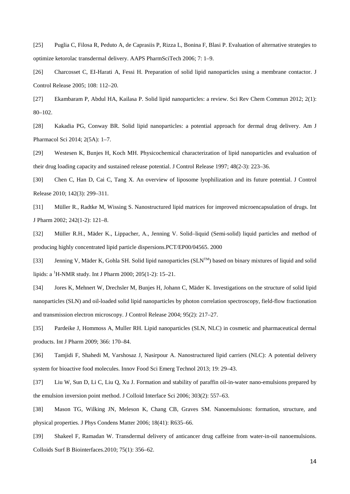[25] Puglia C, Filosa R, Peduto A, de Caprasiis P, Rizza L, Bonina F, Blasi P. Evaluation of alternative strategies to optimize ketorolac transdermal delivery. AAPS PharmSciTech 2006; 7: 1–9.

[26] Charcosset C, EI-Harati A, Fessi H. Preparation of solid lipid nanoparticles using a membrane contactor. J Control Release 2005; 108: 112–20.

[27] Ekambaram P, Abdul HA, Kailasa P. Solid lipid nanoparticles: a review. Sci Rev Chem Commun 2012; 2(1): 80–102.

[28] Kakadia PG, Conway BR. Solid lipid nanoparticles: a potential approach for dermal drug delivery. Am J Pharmacol Sci 2014; 2(5A): 1–7.

[29] Westesen K, Bunjes H, Koch MH. Physicochemical characterization of lipid nanoparticles and evaluation of their drug loading capacity and sustained release potential. J Control Release 1997; 48(2-3): 223–36.

[30] Chen C, Han D, Cai C, Tang X. An overview of liposome lyophilization and its future potential. J Control Release 2010; 142(3): 299–311.

[31] Müller R., Radtke M, Wissing S. Nanostructured lipid matrices for improved microencapsulation of drugs. Int J Pharm 2002; 242(1-2): 121–8.

[32] Müller R.H., Mäder K., Lippacher, A., Jenning V. Solid–liquid (Semi-solid) liquid particles and method of producing highly concentrated lipid particle dispersions.PCT/EP00/04565. 2000

[33] Jenning V, Mäder K, Gohla SH. Solid lipid nanoparticles (SLN<sup>TM</sup>) based on binary mixtures of liquid and solid lipids: a <sup>1</sup>H-NMR study. Int J Pharm 2000; 205(1-2): 15–21.

[34] Jores K, Mehnert W, Drechsler M, Bunjes H, Johann C, Mäder K. Investigations on the structure of solid lipid nanoparticles (SLN) and oil-loaded solid lipid nanoparticles by photon correlation spectroscopy, field-flow fractionation and transmission electron microscopy. J Control Release 2004; 95(2): 217–27.

[35] Pardeike J, Hommoss A, Muller RH. Lipid nanoparticles (SLN, NLC) in cosmetic and pharmaceutical dermal products. Int J Pharm 2009; 366: 170–84.

[36] Tamjidi F, Shahedi M, Varshosaz J, Nasirpour A. Nanostructured lipid carriers (NLC): A potential delivery system for bioactive food molecules. Innov Food Sci Emerg Technol 2013; 19: 29–43.

[37] Liu W, Sun D, Li C, Liu Q, Xu J. Formation and stability of paraffin oil-in-water nano-emulsions prepared by the emulsion inversion point method. J Colloid Interface Sci 2006; 303(2): 557–63.

[38] Mason TG, Wilking JN, Meleson K, Chang CB, Graves SM. Nanoemulsions: formation, structure, and physical properties. J Phys Condens Matter 2006; 18(41): R635–66.

[39] Shakeel F, Ramadan W. Transdermal delivery of anticancer drug caffeine from water-in-oil nanoemulsions. Colloids Surf B Biointerfaces.2010; 75(1): 356–62.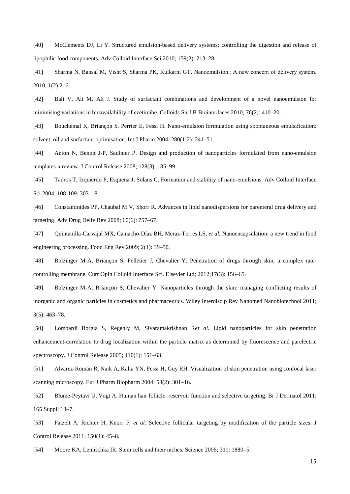[40] McClements DJ, Li Y. Structured emulsion-based delivery systems: controlling the digestion and release of lipophilic food components. Adv Colloid Interface Sci 2010; 159(2): 213–28.

[41] Sharma N, Bansal M, Visht S, Sharma PK, Kulkarni GT. Nanoemulsion : A new concept of delivery system. 2010; 1(2):2–6.

[42] Bali V, Ali M, Ali J. Study of surfactant combinations and development of a novel nanoemulsion for minimising variations in bioavailability of ezetimibe. Colloids Surf B Biointerfaces 2010; 76(2): 410–20.

[43] Bouchemal K, Briançon S, Perrier E, Fessi H. Nano-emulsion formulation using spontaneous emulsification: solvent, oil and surfactant optimisation. Int J Pharm 2004; 280(1-2): 241–51.

[44] Anton N, Benoit J-P, Saulnier P. Design and production of nanoparticles formulated from nano-emulsion templates-a review. J Control Release 2008; 128(3): 185–99.

[45] Tadros T, Izquierdo P, Esquena J, Solans C. Formation and stability of nano-emulsions. Adv Colloid Interface Sci 2004; 108-109: 303–18.

[46] Constantinides PP, Chaubal M V, Shorr R. Advances in lipid nanodispersions for parenteral drug delivery and targeting. Adv Drug Deliv Rev 2008; 60(6): 757–67.

[47] Quintanilla-Carvajal MX, Camacho-Díaz BH, Meraz-Torres LS, *et al.* Nanoencapsulation: a new trend in food engineering processing. Food Eng Rev 2009; 2(1): 39–50.

[48] Bolzinger M-A, Briançon S, Pelletier J, Chevalier Y. Penetration of drugs through skin, a complex ratecontrolling membrane. Curr Opin Colloid Interface Sci. Elsevier Ltd; 2012;17(3): 156–65.

[49] Bolzinger M-A, Briançon S, Chevalier Y. Nanoparticles through the skin: managing conflicting results of inorganic and organic particles in cosmetics and pharmaceutics. Wiley Interdiscip Rev Nanomed Nanobiotechnol 2011; 3(5): 463–78.

[50] Lombardi Borgia S, Regehly M, Sivaramakrishnan R*et al.* Lipid nanoparticles for skin penetration enhancement-correlation to drug localization within the particle matrix as determined by fluorescence and parelectric spectroscopy. J Control Release 2005; 110(1): 151–63.

[51] Alvarez-Román R, Naik A, Kalia YN, Fessi H, Guy RH. Visualization of skin penetration using confocal laser scanning microscopy. Eur J Pharm Biopharm 2004; 58(2): 301–16.

[52] Blume-Peytavi U, Vogt A. Human hair follicle: reservoir function and selective targeting. Br J Dermatol 2011; 165 Suppl: 13–7.

[53] Patzelt A, Richter H, Knorr F, *et al.* Selective follicular targeting by modification of the particle sizes. J Control Release 2011; 150(1): 45–8.

[54] Moore KA, Lemischka IR. Stem cells and their niches. Science 2006; 311: 1880–5.

15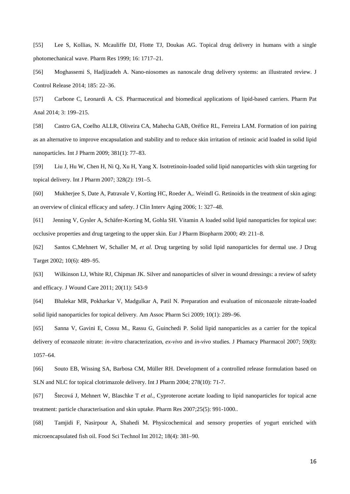[55] Lee S, Kollias, N. Mcauliffe DJ, Flotte TJ, Doukas AG. Topical drug delivery in humans with a single photomechanical wave. Pharm Res 1999; 16: 1717–21.

[56] Moghassemi S, Hadjizadeh A. Nano-niosomes as nanoscale drug delivery systems: an illustrated review. J Control Release 2014; 185: 22–36.

[57] Carbone C, Leonardi A. CS. Pharmaceutical and biomedical applications of lipid-based carriers. Pharm Pat Anal 2014; 3: 199–215.

[58] Castro GA, Coelho ALLR, Oliveira CA, Mahecha GAB, Oréfice RL, Ferreira LAM. Formation of ion pairing as an alternative to improve encapsulation and stability and to reduce skin irritation of retinoic acid loaded in solid lipid nanoparticles. Int J Pharm 2009; 381(1): 77–83.

[59] Liu J, Hu W, Chen H, Ni Q, Xu H, Yang X. Isotretinoin-loaded solid lipid nanoparticles with skin targeting for topical delivery. Int J Pharm 2007; 328(2): 191–5.

[60] Mukherjee S, Date A, Patravale V, Korting HC, Roeder A,. Weindl G. Retinoids in the treatment of skin aging: an overview of clinical efficacy and safety. J Clin Interv Aging 2006; 1: 327–48.

[61] Jenning V, Gysler A, Schäfer-Korting M, Gohla SH. Vitamin A loaded solid lipid nanoparticles for topical use: occlusive properties and drug targeting to the upper skin. Eur J Pharm Biopharm 2000; 49: 211–8.

[62] Santos C,Mehnert W, Schaller M, *et al.* Drug targeting by solid lipid nanoparticles for dermal use. J Drug Target 2002; 10(6): 489–95.

[63] Wilkinson LJ, White RJ, Chipman JK. Silver and nanoparticles of silver in wound dressings: a review of safety and efficacy. J Wound Care 2011; 20(11): 543-9

[64] Bhalekar MR, Pokharkar V, Madgulkar A, Patil N. Preparation and evaluation of miconazole nitrate-loaded solid lipid nanoparticles for topical delivery. Am Assoc Pharm Sci 2009; 10(1): 289–96.

[65] Sanna V, Gavini E, Cossu M., Rassu G, Guinchedi P. Solid lipid nanoparticles as a carrier for the topical delivery of econazole nitrate: *in-vitro* characterization, *ex-vivo* and *in-vivo* studies. J Phamacy Pharmacol 2007; 59(8): 1057–64.

[66] Souto EB, Wissing SA, Barbosa CM, Müller RH. Development of a controlled release formulation based on SLN and NLC for topical clotrimazole delivery. Int J Pharm 2004; 278(10): 71-7.

[67] Štecová J, Mehnert W, Blaschke T *et al.,* Cyproterone acetate loading to lipid nanoparticles for topical acne treatment: particle characterisation and skin uptake. Pharm Res 2007;25(5): 991-1000..

[68] Tamjidi F, Nasirpour A, Shahedi M. Physicochemical and sensory properties of yogurt enriched with microencapsulated fish oil. Food Sci Technol Int 2012; 18(4): 381–90.

16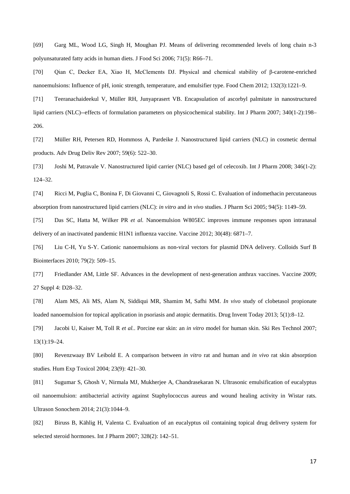[69] Garg ML, Wood LG, Singh H, Moughan PJ. Means of delivering recommended levels of long chain n-3 polyunsaturated fatty acids in human diets. J Food Sci 2006; 71(5): R66–71.

[70] Qian C, Decker EA, Xiao H, McClements DJ. Physical and chemical stability of β-carotene-enriched nanoemulsions: Influence of pH, ionic strength, temperature, and emulsifier type. Food Chem 2012; 132(3):1221–9.

[71] Teeranachaideekul V, Müller RH, Junyaprasert VB. Encapsulation of ascorbyl palmitate in nanostructured lipid carriers (NLC)--effects of formulation parameters on physicochemical stability. Int J Pharm 2007; 340(1-2):198– 206.

[72] Müller RH, Petersen RD, Hommoss A, Pardeike J. Nanostructured lipid carriers (NLC) in cosmetic dermal products. Adv Drug Deliv Rev 2007; 59(6): 522–30.

[73] Joshi M, Patravale V. Nanostructured lipid carrier (NLC) based gel of celecoxib. Int J Pharm 2008; 346(1-2): 124–32.

[74] Ricci M, Puglia C, Bonina F, Di Giovanni C, Giovagnoli S, Rossi C. Evaluation of indomethacin percutaneous absorption from nanostructured lipid carriers (NLC): *in vitro* and *in vivo* studies. J Pharm Sci 2005; 94(5): 1149–59.

[75] Das SC, Hatta M, Wilker PR *et al.* Nanoemulsion W805EC improves immune responses upon intranasal delivery of an inactivated pandemic H1N1 influenza vaccine. Vaccine 2012; 30(48): 6871–7.

[76] Liu C-H, Yu S-Y. Cationic nanoemulsions as non-viral vectors for plasmid DNA delivery. Colloids Surf B Biointerfaces 2010; 79(2): 509–15.

[77] Friedlander AM, Little SF. Advances in the development of next-generation anthrax vaccines. Vaccine 2009; 27 Suppl 4: D28–32.

[78] Alam MS, Ali MS, Alam N, Siddiqui MR, Shamim M, Safhi MM. *In vivo* study of clobetasol propionate loaded nanoemulsion for topical application in psoriasis and atopic dermatitis. Drug Invent Today 2013; 5(1):8–12.

[79] Jacobi U, Kaiser M, Toll R *et al.*. Porcine ear skin: an *in vitro* model for human skin. Ski Res Technol 2007; 13(1):19–24.

[80] Revenzwaay BV Leibold E. A comparison between *in vitro* rat and human and *in vivo* rat skin absorption studies. Hum Exp Toxicol 2004; 23(9): 421–30.

[81] Sugumar S, Ghosh V, Nirmala MJ, Mukherjee A, Chandrasekaran N. Ultrasonic emulsification of eucalyptus oil nanoemulsion: antibacterial activity against Staphylococcus aureus and wound healing activity in Wistar rats. Ultrason Sonochem 2014; 21(3):1044–9.

[82] Biruss B, Kählig H, Valenta C. Evaluation of an eucalyptus oil containing topical drug delivery system for selected steroid hormones. Int J Pharm 2007; 328(2): 142–51.

17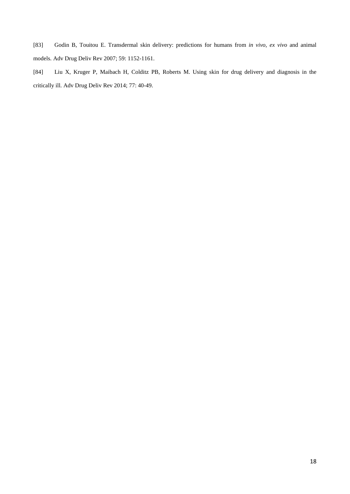[83] Godin B, Touitou E. Transdermal skin delivery: predictions for humans from *in vivo, ex vivo* and animal models. Adv Drug Deliv Rev 2007; 59: 1152-1161.

[84] Liu X, Kruger P, Maibach H, Colditz PB, Roberts M. Using skin for drug delivery and diagnosis in the critically ill. Adv Drug Deliv Rev 2014; 77: 40-49.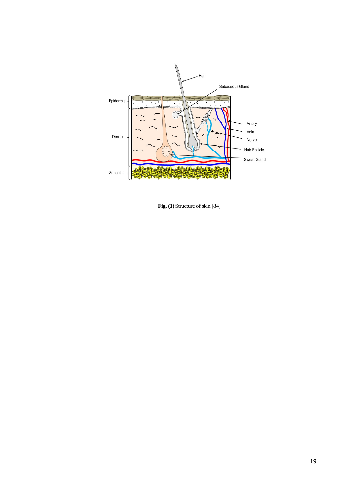

 **Fig. (1)** Structure of skin [84]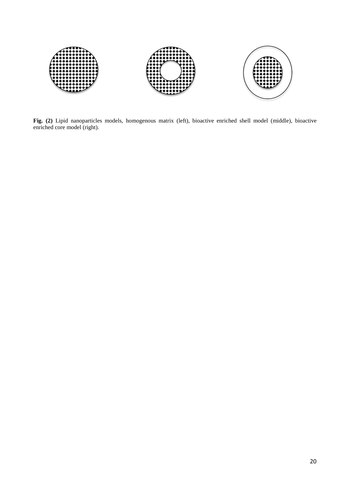

**Fig. (2)** Lipid nanoparticles models, homogenous matrix (left), bioactive enriched shell model (middle), bioactive enriched core model (right).